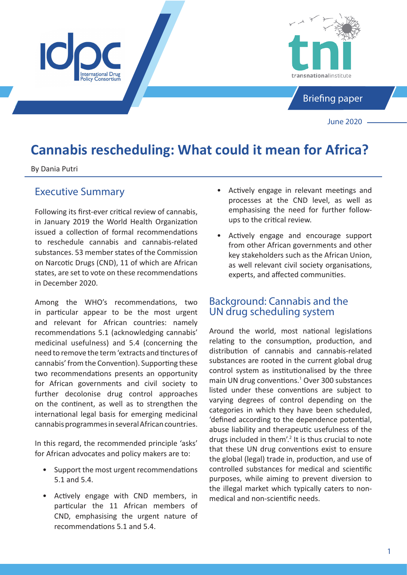

# **Cannabis rescheduling: What could it mean for Africa?**

By Dania Putri

# Executive Summary

Following its first-ever critical review of cannabis, in January 2019 the World Health Organization issued a collection of formal recommendations to reschedule cannabis and cannabis-related substances. 53 member states of the Commission on Narcotic Drugs (CND), 11 of which are African states, are set to vote on these recommendations in December 2020.

Among the WHO's recommendations, two in particular appear to be the most urgent and relevant for African countries: namely recommendations 5.1 (acknowledging cannabis' medicinal usefulness) and 5.4 (concerning the need to remove the term 'extracts and tinctures of cannabis' from the Convention). Supporting these two recommendations presents an opportunity for African governments and civil society to further decolonise drug control approaches on the continent, as well as to strengthen the international legal basis for emerging medicinal cannabis programmes in several African countries.

In this regard, the recommended principle 'asks' for African advocates and policy makers are to:

- Support the most urgent recommendations 5.1 and 5.4.
- Actively engage with CND members, in particular the 11 African members of CND, emphasising the urgent nature of recommendations 5.1 and 5.4.
- Actively engage in relevant meetings and processes at the CND level, as well as emphasising the need for further followups to the critical review.
- Actively engage and encourage support from other African governments and other key stakeholders such as the African Union, as well relevant civil society organisations, experts, and affected communities.

# Background: Cannabis and the UN drug scheduling system

Around the world, most national legislations relating to the consumption, production, and distribution of cannabis and cannabis-related substances are rooted in the current global drug control system as institutionalised by the three main UN drug conventions.<sup>1</sup> Over 300 substances listed under these conventions are subject to varying degrees of control depending on the categories in which they have been scheduled, 'defined according to the dependence potential, abuse liability and therapeutic usefulness of the drugs included in them'.<sup>2</sup> It is thus crucial to note that these UN drug conventions exist to ensure the global (legal) trade in, production, and use of controlled substances for medical and scientific purposes, while aiming to prevent diversion to the illegal market which typically caters to nonmedical and non-scientific needs.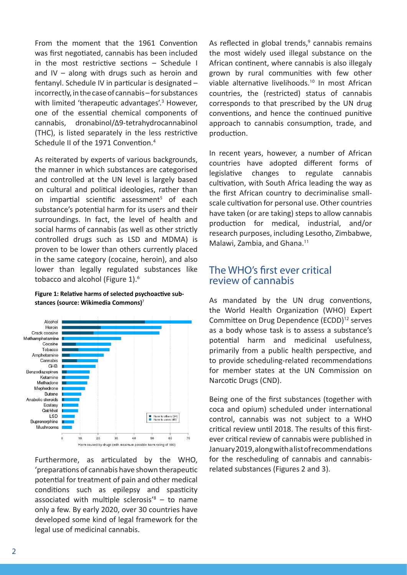From the moment that the 1961 Convention was first negotiated, cannabis has been included in the most restrictive sections – Schedule I and IV – along with drugs such as heroin and fentanyl. Schedule IV in particular is designated – incorrectly, in the case of cannabis – for substances with limited 'therapeutic advantages'.<sup>3</sup> However, one of the essential chemical components of cannabis, dronabinol/Δ9-tetrahydrocannabinol (THC), is listed separately in the less restrictive Schedule II of the 1971 Convention.<sup>4</sup>

As reiterated by experts of various backgrounds, the manner in which substances are categorised and controlled at the UN level is largely based on cultural and political ideologies, rather than on impartial scientific assessment<sup>5</sup> of each substance's potential harm for its users and their surroundings. In fact, the level of health and social harms of cannabis (as well as other strictly controlled drugs such as LSD and MDMA) is proven to be lower than others currently placed in the same category (cocaine, heroin), and also lower than legally regulated substances like tobacco and alcohol (Figure 1).<sup>6</sup>

#### **Figure 1: Relative harms of selected psychoactive substances (source: Wikimedia Commons)**<sup>7</sup>



Furthermore, as articulated by the WHO, 'preparations of cannabis have shown therapeutic potential for treatment of pain and other medical conditions such as epilepsy and spasticity associated with multiple sclerosis<sup>'8</sup>  $-$  to name only a few. By early 2020, over 30 countries have developed some kind of legal framework for the legal use of medicinal cannabis.

As reflected in global trends, $9$  cannabis remains the most widely used illegal substance on the African continent, where cannabis is also illegaly grown by rural communities with few other viable alternative livelihoods.<sup>10</sup> In most African countries, the (restricted) status of cannabis corresponds to that prescribed by the UN drug conventions, and hence the continued punitive approach to cannabis consumption, trade, and production.

In recent years, however, a number of African countries have adopted different forms of legislative changes to regulate cannabis cultivation, with South Africa leading the way as the first African country to decriminalise smallscale cultivation for personal use. Other countries have taken (or are taking) steps to allow cannabis production for medical, industrial, and/or research purposes, including Lesotho, Zimbabwe, Malawi, Zambia, and Ghana.<sup>11</sup>

# The WHO's first ever critical review of cannabis

As mandated by the UN drug conventions, the World Health Organization (WHO) Expert Committee on Drug Dependence (ECDD)<sup>12</sup> serves as a body whose task is to assess a substance's potential harm and medicinal usefulness, primarily from a public health perspective, and to provide scheduling-related recommendations for member states at the UN Commission on Narcotic Drugs (CND).

Being one of the first substances (together with coca and opium) scheduled under international control, cannabis was not subject to a WHO critical review until 2018. The results of this firstever critical review of cannabis were published in January 2019, along with a list of recommendations for the rescheduling of cannabis and cannabisrelated substances (Figures 2 and 3).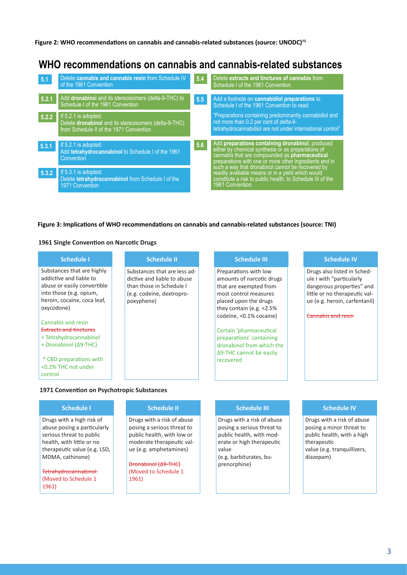**Figure 2: WHO recommendations on cannabis and cannabis-related substances (source: UNODC)**<sup>48</sup>

# **WHO recommendations on cannabis and cannabis-related substances**

| 5.1   | Delete cannabis and cannabis resin from Schedule IV<br>of the 1961 Convention                                            | 5.4 | Delete extracts and tinctures of cannabis from<br>Schedule I of the 1961 Convention                                                                                                                                       |  |
|-------|--------------------------------------------------------------------------------------------------------------------------|-----|---------------------------------------------------------------------------------------------------------------------------------------------------------------------------------------------------------------------------|--|
| 5.2.1 | Add dronabinol and its stereoisomers (delta-9-THC) to<br>Schedule I of the 1961 Convention                               | 5.5 | Add a footnote on cannabidiol preparations to<br>Schedule I of the 1961 Convention to read:                                                                                                                               |  |
| 5.2.2 | If 5.2.1 is adopted:<br>Delete dronabinol and its stereoisomers (delta-9-THC)<br>from Schedule II of the 1971 Convention |     | "Preparations containing predominantly cannabidiol and<br>not more than 0.2 per cent of delta-9-<br>tetrahydrocannabidiol are not under international control"                                                            |  |
| 5.3.1 | If 5.2.1 is adopted:<br>Add tetrahydrocannabinol to Schedule I of the 1961<br>Convention                                 | 5.6 | Add preparations containing dronabinol, produced<br>either by chemical synthesis or as preparations of<br>cannabis that are compounded as <b>pharmaceutical</b><br>preparations with one or more other ingredients and in |  |
| 5.3.2 | If 5.3.1 is adopted:<br>Delete tetrahydrocannabinol from Schedule I of the<br>1971 Convention                            |     | such a way that dronabinol cannot be recovered by<br>readily available means or in a yield which would<br>constitute a risk to public health, to Schedule III of the<br>1961 Convention                                   |  |

#### **Figure 3: Implications of WHO recommendations on cannabis and cannabis-related substances (source: TNI)**

#### **1961 Single Convention on Narcotic Drugs**

| <b>Schedule I</b>                                                                                                                                                   | <b>Schedule II</b>                                                                                                                 | <b>Schedule III</b>                                                                                                                                           | <b>Schedule IV</b>                                                                                                                                     |
|---------------------------------------------------------------------------------------------------------------------------------------------------------------------|------------------------------------------------------------------------------------------------------------------------------------|---------------------------------------------------------------------------------------------------------------------------------------------------------------|--------------------------------------------------------------------------------------------------------------------------------------------------------|
| Substances that are highly<br>addictive and liable to<br>abuse or easily convertible<br>into those (e.g. opium,<br>heroin, cocaine, coca leaf,<br>oxycodone)        | Substances that are less ad-<br>dictive and liable to abuse<br>than those in Schedule I<br>(e.g. codeine, dextropro-<br>poxyphene) | Preparations with low<br>amounts of narcotic drugs<br>that are exempted from<br>most control measures<br>placed upon the drugs<br>they contain (e.g. $<$ 2.5% | Drugs also listed in Sched-<br>ule I with "particularly<br>dangerous properties" and<br>little or no therapeutic val-<br>ue (e.g. heroin, carfentanil) |
| Cannabis and resin<br><b>Extracts and tinctures</b><br>+ Tetrahydrocannabinol<br>+ Dronabinol (Δ9-THC)<br>* CBD preparations with<br><0.2% THC not under<br>control |                                                                                                                                    | codeine, <0.1% cocaine)<br>Certain 'pharmaceutical<br>preparations' containing<br>dronabinol from which the<br>$\Delta$ 9-THC cannot be easily<br>recovered   | Cannabis and resin                                                                                                                                     |

#### **1971 Convention on Psychotropic Substances**

#### **Schedule I**

Drugs with a high risk of abuse posing a particularly serious threat to public health, with little or no therapeutic value (e.g. LSD, MDMA, cathinone)

Tetrahydrocannabinol (Moved to Schedule 1 1961)

#### **Schedule II**

Drugs with a risk of abuse posing a serious threat to public health, with low or moderate therapeutic value (e.g. amphetamines)

Dronabinol (Δ9-THC) (Moved to Schedule 1 1961)

#### **Schedule III**

Drugs with a risk of abuse posing a serious threat to public health, with moderate or high therapeutic value (e.g. barbiturates, buprenorphine)

#### **Schedule IV**

Drugs with a risk of abuse posing a minor threat to public health, with a high therapeutic value (e.g. tranquillizers, diazepam)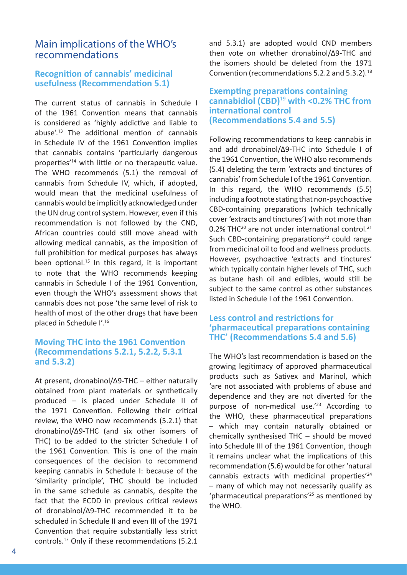# Main implications of the WHO's recommendations

## **Recognition of cannabis' medicinal usefulness (Recommendation 5.1)**

The current status of cannabis in Schedule I of the 1961 Convention means that cannabis is considered as 'highly addictive and liable to abuse'.<sup>13</sup> The additional mention of cannabis in Schedule IV of the 1961 Convention implies that cannabis contains 'particularly dangerous properties'<sup>14</sup> with little or no therapeutic value. The WHO recommends (5.1) the removal of cannabis from Schedule IV, which, if adopted, would mean that the medicinal usefulness of cannabis would be implicitly acknowledged under the UN drug control system. However, even if this recommendation is not followed by the CND, African countries could still move ahead with allowing medical cannabis, as the imposition of full prohibition for medical purposes has always been optional.<sup>15</sup> In this regard, it is important to note that the WHO recommends keeping cannabis in Schedule I of the 1961 Convention, even though the WHO's assessment shows that cannabis does not pose 'the same level of risk to health of most of the other drugs that have been placed in Schedule I'.<sup>16</sup>

## **Moving THC into the 1961 Convention (Recommendations 5.2.1, 5.2.2, 5.3.1 and 5.3.2)**

At present, dronabinol/Δ9-THC – either naturally obtained from plant materials or synthetically produced – is placed under Schedule II of the 1971 Convention. Following their critical review, the WHO now recommends (5.2.1) that dronabinol/Δ9-THC (and six other isomers of THC) to be added to the stricter Schedule I of the 1961 Convention. This is one of the main consequences of the decision to recommend keeping cannabis in Schedule I: because of the 'similarity principle', THC should be included in the same schedule as cannabis, despite the fact that the ECDD in previous critical reviews of dronabinol/Δ9-THC recommended it to be scheduled in Schedule II and even III of the 1971 Convention that require substantially less strict controls.<sup>17</sup> Only if these recommendations (5.2.1

and 5.3.1) are adopted would CND members then vote on whether dronabinol/Δ9-THC and the isomers should be deleted from the 1971 Convention (recommendations 5.2.2 and 5.3.2).<sup>18</sup>

## **Exempting preparations containing cannabidiol (CBD)**<sup>19</sup> **with <0.2% THC from international control (Recommendations 5.4 and 5.5)**

Following recommendations to keep cannabis in and add dronabinol/Δ9-THC into Schedule I of the 1961 Convention, the WHO also recommends (5.4) deleting the term 'extracts and tinctures of cannabis' from Schedule I of the 1961 Convention. In this regard, the WHO recommends (5.5) including a footnote stating that non-psychoactive CBD-containing preparations (which technically cover 'extracts and tinctures') with not more than 0.2% THC<sup>20</sup> are not under international control.<sup>21</sup> Such CBD-containing preparations<sup>22</sup> could range from medicinal oil to food and wellness products. However, psychoactive 'extracts and tinctures' which typically contain higher levels of THC, such as butane hash oil and edibles, would still be subject to the same control as other substances listed in Schedule I of the 1961 Convention.

## **Less control and restrictions for 'pharmaceutical preparations containing THC' (Recommendations 5.4 and 5.6)**

The WHO's last recommendation is based on the growing legitimacy of approved pharmaceutical products such as Sativex and Marinol, which 'are not associated with problems of abuse and dependence and they are not diverted for the purpose of non-medical use.<sup>'23</sup> According to the WHO, these pharmaceutical preparations – which may contain naturally obtained or chemically synthesised THC – should be moved into Schedule III of the 1961 Convention, though it remains unclear what the implications of this recommendation (5.6) would be for other 'natural cannabis extracts with medicinal properties'<sup>24</sup> – many of which may not necessarily qualify as 'pharmaceutical preparations'<sup>25</sup> as mentioned by the WHO.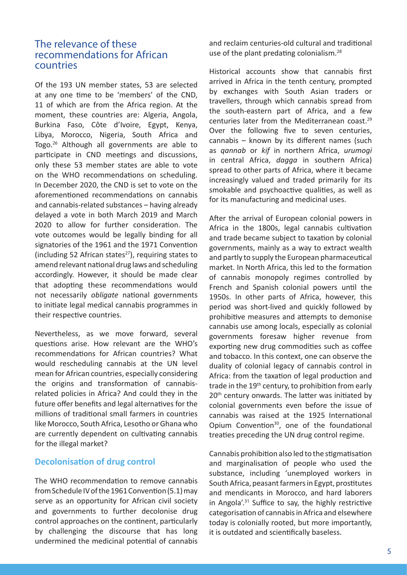# The relevance of these recommendations for African countries

Of the 193 UN member states, 53 are selected at any one time to be 'members' of the CND, 11 of which are from the Africa region. At the moment, these countries are: Algeria, Angola, Burkina Faso, Côte d'Ivoire, Egypt, Kenya, Libya, Morocco, Nigeria, South Africa and Togo.<sup>26</sup> Although all governments are able to participate in CND meetings and discussions, only these 53 member states are able to vote on the WHO recommendations on scheduling. In December 2020, the CND is set to vote on the aforementioned recommendations on cannabis and cannabis-related substances – having already delayed a vote in both March 2019 and March 2020 to allow for further consideration. The vote outcomes would be legally binding for all signatories of the 1961 and the 1971 Convention (including 52 African states<sup>27</sup>), requiring states to amend relevant national drug laws and scheduling accordingly. However, it should be made clear that adopting these recommendations would not necessarily *obligate* national governments to initiate legal medical cannabis programmes in their respective countries.

Nevertheless, as we move forward, several questions arise. How relevant are the WHO's recommendations for African countries? What would rescheduling cannabis at the UN level mean for African countries, especially considering the origins and transformation of cannabisrelated policies in Africa? And could they in the future offer benefits and legal alternatives for the millions of traditional small farmers in countries like Morocco, South Africa, Lesotho or Ghana who are currently dependent on cultivating cannabis for the illegal market?

## **Decolonisation of drug control**

The WHO recommendation to remove cannabis from Schedule IV of the 1961 Convention (5.1) may serve as an opportunity for African civil society and governments to further decolonise drug control approaches on the continent, particularly by challenging the discourse that has long undermined the medicinal potential of cannabis

and reclaim centuries-old cultural and traditional use of the plant predating colonialism.<sup>28</sup>

Historical accounts show that cannabis first arrived in Africa in the tenth century, prompted by exchanges with South Asian traders or travellers, through which cannabis spread from the south-eastern part of Africa, and a few centuries later from the Mediterranean coast.<sup>29</sup> Over the following five to seven centuries, cannabis – known by its different names (such as *qannab* or *kif* in northern Africa, *urumogi* in central Africa, *dagga* in southern Africa) spread to other parts of Africa, where it became increasingly valued and traded primarily for its smokable and psychoactive qualities, as well as for its manufacturing and medicinal uses.

After the arrival of European colonial powers in Africa in the 1800s, legal cannabis cultivation and trade became subject to taxation by colonial governments, mainly as a way to extract wealth and partly to supply the European pharmaceutical market. In North Africa, this led to the formation of cannabis monopoly regimes controlled by French and Spanish colonial powers until the 1950s. In other parts of Africa, however, this period was short-lived and quickly followed by prohibitive measures and attempts to demonise cannabis use among locals, especially as colonial governments foresaw higher revenue from exporting new drug commodities such as coffee and tobacco. In this context, one can observe the duality of colonial legacy of cannabis control in Africa: from the taxation of legal production and trade in the 19<sup>th</sup> century, to prohibition from early 20<sup>th</sup> century onwards. The latter was initiated by colonial governments even before the issue of cannabis was raised at the 1925 International Opium Convention<sup>30</sup>, one of the foundational treaties preceding the UN drug control regime.

Cannabis prohibition also led to the stigmatisation and marginalisation of people who used the substance, including 'unemployed workers in South Africa, peasant farmers in Egypt, prostitutes and mendicants in Morocco, and hard laborers in Angola'.<sup>31</sup> Suffice to say, the highly restrictive categorisation of cannabis in Africa and elsewhere today is colonially rooted, but more importantly, it is outdated and scientifically baseless.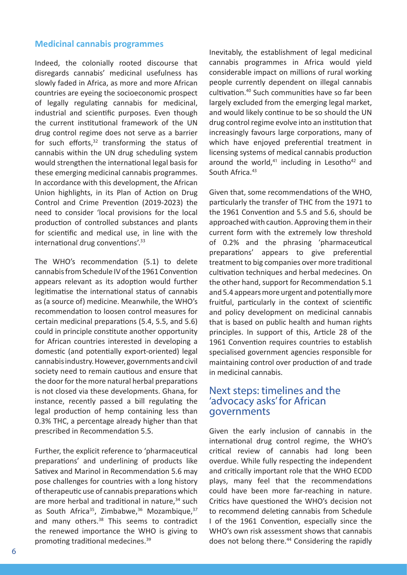## **Medicinal cannabis programmes**

Indeed, the colonially rooted discourse that disregards cannabis' medicinal usefulness has slowly faded in Africa, as more and more African countries are eyeing the socioeconomic prospect of legally regulating cannabis for medicinal, industrial and scientific purposes. Even though the current institutional framework of the UN drug control regime does not serve as a barrier for such efforts, $32$  transforming the status of cannabis within the UN drug scheduling system would strengthen the international legal basis for these emerging medicinal cannabis programmes. In accordance with this development, the African Union highlights, in its Plan of Action on Drug Control and Crime Prevention (2019-2023) the need to consider 'local provisions for the local production of controlled substances and plants for scientific and medical use, in line with the international drug conventions'.<sup>33</sup>

The WHO's recommendation (5.1) to delete cannabis from Schedule IV of the 1961 Convention appears relevant as its adoption would further legitimatise the international status of cannabis as (a source of) medicine. Meanwhile, the WHO's recommendation to loosen control measures for certain medicinal preparations (5.4, 5.5, and 5.6) could in principle constitute another opportunity for African countries interested in developing a domestic (and potentially export-oriented) legal cannabis industry. However, governments and civil society need to remain cautious and ensure that the door for the more natural herbal preparations is not closed via these developments. Ghana, for instance, recently passed a bill regulating the legal production of hemp containing less than 0.3% THC, a percentage already higher than that prescribed in Recommendation 5.5.

Further, the explicit reference to 'pharmaceutical preparations' and underlining of products like Sativex and Marinol in Recommendation 5.6 may pose challenges for countries with a long history of therapeutic use of cannabis preparations which are more herbal and traditional in nature, $34$  such as South Africa<sup>35</sup>, Zimbabwe,  $36$  Mozambique,  $37$ and many others.<sup>38</sup> This seems to contradict the renewed importance the WHO is giving to promoting traditional medecines.<sup>39</sup>

Inevitably, the establishment of legal medicinal cannabis programmes in Africa would yield considerable impact on millions of rural working people currently dependent on illegal cannabis cultivation.<sup>40</sup> Such communities have so far been largely excluded from the emerging legal market, and would likely continue to be so should the UN drug control regime evolve into an institution that increasingly favours large corporations, many of which have enjoyed preferential treatment in licensing systems of medical cannabis production around the world.<sup>41</sup> including in Lesotho<sup>42</sup> and South Africa.<sup>43</sup>

Given that, some recommendations of the WHO, particularly the transfer of THC from the 1971 to the 1961 Convention and 5.5 and 5.6, should be approached with caution. Approving them in their current form with the extremely low threshold of 0.2% and the phrasing 'pharmaceutical preparations' appears to give preferential treatment to big companies over more traditional cultivation techniques and herbal medecines. On the other hand, support for Recommendation 5.1 and 5.4 appears more urgent and potentially more fruitful, particularly in the context of scientific and policy development on medicinal cannabis that is based on public health and human rights principles. In support of this, Article 28 of the 1961 Convention requires countries to establish specialised government agencies responsible for maintaining control over production of and trade in medicinal cannabis.

# Next steps: timelines and the 'advocacy asks' for African governments

Given the early inclusion of cannabis in the international drug control regime, the WHO's critical review of cannabis had long been overdue. While fully respecting the independent and critically important role that the WHO ECDD plays, many feel that the recommendations could have been more far-reaching in nature. Critics have questioned the WHO's decision not to recommend deleting cannabis from Schedule I of the 1961 Convention, especially since the WHO's own risk assessment shows that cannabis does not belong there.<sup>44</sup> Considering the rapidly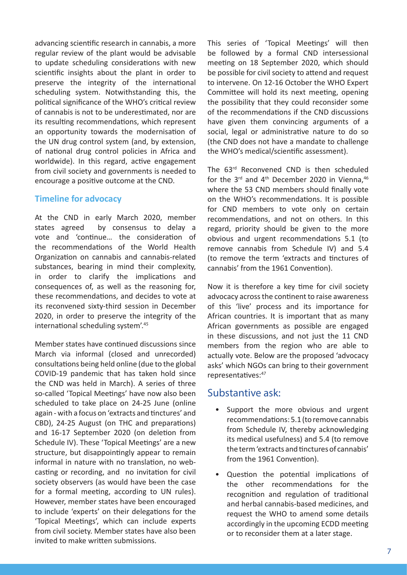advancing scientific research in cannabis, a more regular review of the plant would be advisable to update scheduling considerations with new scientific insights about the plant in order to preserve the integrity of the international scheduling system. Notwithstanding this, the political significance of the WHO's critical review of cannabis is not to be underestimated, nor are its resulting recommendations, which represent an opportunity towards the modernisation of the UN drug control system (and, by extension, of national drug control policies in Africa and worldwide). In this regard, active engagement from civil society and governments is needed to encourage a positive outcome at the CND.

## **Timeline for advocacy**

At the CND in early March 2020, member states agreed by consensus to delay a vote and 'continue… the consideration of the recommendations of the World Health Organization on cannabis and cannabis-related substances, bearing in mind their complexity, in order to clarify the implications and consequences of, as well as the reasoning for, these recommendations, and decides to vote at its reconvened sixty-third session in December 2020, in order to preserve the integrity of the international scheduling system'.<sup>45</sup>

Member states have continued discussions since March via informal (closed and unrecorded) consultations being held online (due to the global COVID-19 pandemic that has taken hold since the CND was held in March). A series of three so-called 'Topical Meetings' have now also been scheduled to take place on 24-25 June (online again - with a focus on 'extracts and tinctures' and CBD), 24-25 August (on THC and preparations) and 16-17 September 2020 (on deletion from Schedule IV). These 'Topical Meetings' are a new structure, but disappointingly appear to remain informal in nature with no translation, no webcasting or recording, and no invitation for civil society observers (as would have been the case for a formal meeting, according to UN rules). However, member states have been encouraged to include 'experts' on their delegations for the 'Topical Meetings', which can include experts from civil society. Member states have also been invited to make written submissions.

This series of 'Topical Meetings' will then be followed by a formal CND intersessional meeting on 18 September 2020, which should be possible for civil society to attend and request to intervene. On 12-16 October the WHO Expert Committee will hold its next meeting, opening the possibility that they could reconsider some of the recommendations if the CND discussions have given them convincing arguments of a social, legal or administrative nature to do so (the CND does not have a mandate to challenge the WHO's medical/scientific assessment).

The 63<sup>rd</sup> Reconvened CND is then scheduled for the  $3^{rd}$  and  $4^{th}$  December 2020 in Vienna,  $46$ where the 53 CND members should finally vote on the WHO's recommendations. It is possible for CND members to vote only on certain recommendations, and not on others. In this regard, priority should be given to the more obvious and urgent recommendations 5.1 (to remove cannabis from Schedule IV) and 5.4 (to remove the term 'extracts and tinctures of cannabis' from the 1961 Convention).

Now it is therefore a key time for civil society advocacy across the continent to raise awareness of this 'live' process and its importance for African countries. It is important that as many African governments as possible are engaged in these discussions, and not just the 11 CND members from the region who are able to actually vote. Below are the proposed 'advocacy asks' which NGOs can bring to their government representatives: 47

# Substantive ask:

- Support the more obvious and urgent recommendations: 5.1 (to remove cannabis from Schedule IV, thereby acknowledging its medical usefulness) and 5.4 (to remove the term 'extracts and tinctures of cannabis' from the 1961 Convention).
- Question the potential implications of the other recommendations for the recognition and regulation of traditional and herbal cannabis-based medicines, and request the WHO to amend some details accordingly in the upcoming ECDD meeting or to reconsider them at a later stage.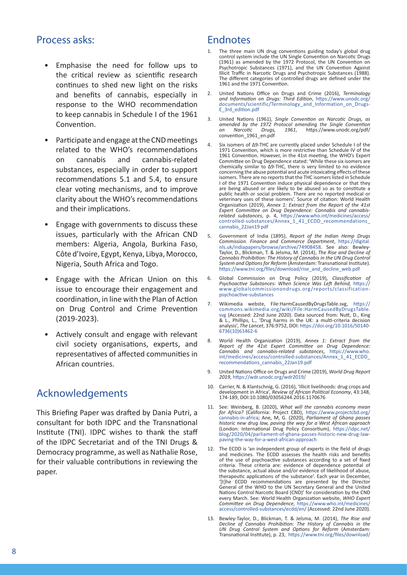# Process asks:

- Emphasise the need for follow ups to the critical review as scientific research continues to shed new light on the risks and benefits of cannabis, especially in response to the WHO recommendation to keep cannabis in Schedule I of the 1961 Convention.
- Participate and engage at the CND meetings related to the WHO's recommendations on cannabis and cannabis-related substances, especially in order to support recommendations 5.1 and 5.4, to ensure clear voting mechanisms, and to improve clarity about the WHO's recommendations and their implications.
- Engage with governments to discuss these issues, particularly with the African CND members: Algeria, Angola, Burkina Faso, Côte d'Ivoire, Egypt, Kenya, Libya, Morocco, Nigeria, South Africa and Togo.
- Engage with the African Union on this issue to encourage their engagement and coordination, in line with the Plan of Action on Drug Control and Crime Prevention (2019-2023).
- Actively consult and engage with relevant civil society organisations, experts, and representatives of affected communities in African countries.

# Acknowledgements

This Briefing Paper was drafted by Dania Putri, a consultant for both IDPC and the Transnational Institute (TNI). IDPC wishes to thank the staff of the IDPC Secretariat and of the TNI Drugs & Democracy programme, as well as Nathalie Rose, for their valuable contributions in reviewing the paper.

# Endnotes

- The three main UN drug conventions guiding today's global drug control system include the UN Single Convention on Narcotic Drugs (1961) as amended by the 1972 Protocol, the UN Convention on Psychotropic Substances (1971), and the UN Convention Against Illicit Traffic in Narcotic Drugs and Psychotropic Substances (1988). The different categories of controlled drugs are defined under the 1961 and the 1971 Convention.
- 2. United Nations Office on Drugs and Crime (2016), *Terminology and Information on Drugs: Third Edition*, https://www.unodc.org/ documents/scientific/Terminology\_and\_Information\_on\_Drugs-E\_3rd\_edition.pdf
- 3. United Nations (1961), *Single Convention on Narcotic Drugs, as amended by the 1972 Protocol amending the Single Convention on Narcotic Drugs, 1961*, https://www.unodc.org/pdf/ convention\_1961\_en.pdf
- 4. Six isomers of Δ9-THC are currently placed under Schedule I of the 1971 Convention, which is more restrictive than Schedule IV of the 1961 Convention. However, in the 41st meeting, the WHO's Expert Committee on Drug Dependence stated: 'While these six isomers are chemically similar to Δ9-THC, there is very limited to no evidence concerning the abuse potential and acute intoxicating effects of these isomers. There are no reports that the THC isomers listed in Schedule I of the 1971 Convention induce physical dependence or that they are being abused or are likely to be abused so as to constitute a public health or social problem. There are no reported medical or veterinary uses of these isomers'. Source of citation: World Health Organization (2019), *Annex 1: Extract from the Report of the 41st Expert Committee on Drug Dependence: Cannabis and cannabisrelated substances*, p. 4, https://www.who.int/medicines/access/ controlled-substances/Annex\_1\_41\_ECDD\_recommendations\_ cannabis\_22Jan19 pdf
- 5. Government of India (1895), *Report of the Indian Hemp Drugs Commission. Finance and Commerce Department*, https://digital. nls.uk/indiapapers/browse/archive/74908458. See also: Bewley-Taylor, D., Blickman, T. & Jelsma, M. (2014), *The Rise and Decline of Cannabis Prohibition: The History of Cannabis in the UN Drug Control System and Options for Reform* (Amsterdam: Transnational Institute). https://www.tni.org/files/download/rise\_and\_decline\_web.pdf
- 6. Global Commission on Drug Policy (2019), *Classification of Psychoactive Substances: When Science Was Left Behind,* https:// www.globalcommissionondrugs.org/reports/classificationpsychoactive-substances
- 7. Wikimedia webste, File:HarmCausedByDrugsTable.svg, https:// commons.wikimedia.org/wiki/File:HarmCausedByDrugsTable. svg (Accessed: 22nd June 2020). Data sourced from: Nutt, D., King & L., Phillips, L., 'Drug harms in the UK: a multi-criteria decision analysis', *The Lancet*, 376:9752, DOI: https://doi.org/10.1016/S0140- 6736(10)61462-6
- 8. World Health Organization (2019), *Annex 1: Extract from the Report of the 41st Expert Committee on Drug Dependence: Cannabis and cannabis-related substances*, https://www.who. int/medicines/access/controlled-substances/Annex\_1\_41\_ECDD\_ recommendations\_cannabis\_22Jan19.pdf
- 9. United Nations Office on Drugs and Crime (2019), *World Drug Report 2019*, https://wdr.unodc.org/wdr2019/
- 10. Carrier, N. & Klantschnig, G. (2016), 'Illicit livelihoods: drug crops and development in Africa', *Review of African Political Economy*, 43:148, 174-189, DOI:10.1080/03056244.2016.1170676
- 11. See: Weinberg, B. (2020), *What will the cannabis economy mean for Africa?* (California: Project CBD), https://www.projectcbd.org/ cannabis-in-africa; Ane, M, G. (2020), *Parliament of Ghana passes historic new drug law, paving the way for a West African approach*  (London: International Drug Policy Consortium), https://idpc.net/ blog/2020/04/parliament-of-ghana-passes-historic-new-drug-lawpaving-the-way-for-a-west-african-approach
- 12. The ECDD is 'an independent group of experts in the field of drugs and medicines. The ECDD assesses the health risks and benefits of the use of psychoactive substances according to a set of fixed criteria. These criteria are: evidence of dependence potential of the substance, actual abuse and/or evidence of likelihood of abuse, therapeutic applications of the substance'. Each year in December, '[t]he ECDD recommendations are presented by the Director General of the WHO to the UN Secretary General and the United Nations Control Narcotic Board (CND)' for consideration by the CND every March. See: World Health Organization website, *WHO Expert Committee on Drug Dependence*, https://www.who.int/medicines/ access/controlled-substances/ecdd/en/ (Accessed: 22nd June 2020).
- 13. Bewley-Taylor, D., Blickman, T. & Jelsma, M. (2014), *The Rise and Decline of Cannabis Prohibition: The History of Cannabis in the UN Drug Control System and Options for Reform* (Amsterdam: Transnational Institute), p. 23, https://www.tni.org/files/download/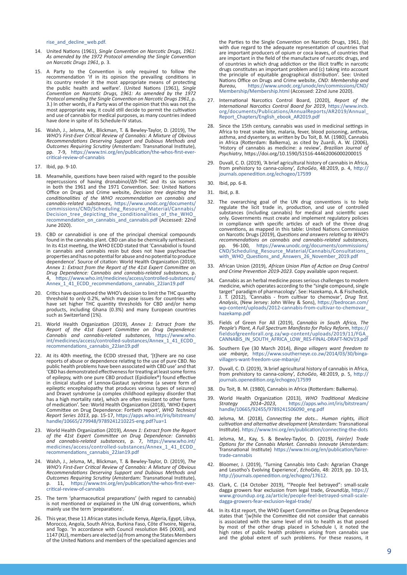rise\_and\_decline\_web.pdf.

- 14. United Nations (1961), *Single Convention on Narcotic Drugs, 1961: As amended by the 1972 Protocol amending the Single Convention on Narcotic Drugs 1961*, p. 3.
- 15. A Party to the Convention is only required to follow the recommendation 'if in its opinion the prevailing conditions in its country render it the most appropriate means of protecting the public health and welfare'. (United Nations (1961), *Single Convention on Narcotic Drugs, 1961: As amended by the 1972 Protocol amending the Single Convention on Narcotic Drugs 1961*, p. 3.) In other words, if a Party was of the opinion that this was not the most appropriate way, it could still decide to permit the cultivation and use of cannabis for medical purposes, as many countries indeed have done in spite of its Schedule-IV status.
- 16. Walsh, J., Jelsma, M., Blickman, T. & Bewley-Taylor, D. (2019), T*he WHO's First-Ever Critical Review of Cannabis: A Mixture of Obvious Recommendations Deserving Support and Dubious Methods and Outcomes Requiring Scrutiny* (Amsterdam: Transnational Institute), pp. 7-9, https://www.tni.org/en/publication/the-whos-first-evercritical-review-of-cannabis
- 17. Ibid, pp. 9-10.
- 18. Meanwhile, questions have been raised with regard to the possible repercussions of having dronabinol/Δ9-THC and its six isomers in both the 1961 and the 1971 Convention. See: United Nations Office on Drugs and Crime website, *Decision tree depicting the conditionalities of the WHO recommendation on cannabis and cannabis-related substances*, https://www.unodc.org/documents/ commissions/CND/Scheduling\_Resource\_Material/Cannabis/ Decision\_tree\_depicting\_the\_conditionalities\_of\_the\_WHO\_ recommendation\_on\_cannabis\_and\_cannabis.pdf (Accessed: 22nd June 2020).
- 19. CBD or cannabidiol is one of the principal chemical compounds found in the cannabis plant. CBD can also be chemically synthesised. In its 41st meeting, the WHO ECDD stated that 'Cannabidiol is found in cannabis and cannabis resin but does not have psychoactive properties and has no potential for abuse and no potential to produce dependence'. Source of citation: World Health Organization (2019), *Annex 1: Extract from the Report of the 41st Expert Committee on Drug Dependence: Cannabis and cannabis-related substances*, p. 4, https://www.who.int/medicines/access/controlled-substances/ Annex\_1\_41\_ECDD\_recommendations\_cannabis\_22Jan19.pdf
- 20. Critics have questioned the WHO's decision to limit the THC quantity threshold to only 0.2%, which may pose issues for countries who have set higher THC quantity thresholds for CBD and/or hemp products, including Ghana (0.3%) and many European countries such as Switzerland (1%).
- 21. World Health Organization (2019), *Annex 1: Extract from the Report of the 41st Expert Committee on Drug Dependence: Cannabis and cannabis-related substances*, https://www.who. int/medicines/access/controlled-substances/Annex\_1\_41\_ECDD\_ recommendations\_cannabis\_22Jan19.pdf
- 22. At its 40th meeting, the ECDD stressed that, '[t]here are no case reports of abuse or dependence relating to the use of pure CBD. No public health problems have been associated with CBD use' and that 'CBD has demonstrated effectiveness for treating at least some forms of epilepsy, with one pure CBD product (Epidiolex®) found effective in clinical studies of Lennox-Gastaut syndrome (a severe form of epileptic encephalopathy that produces various types of seizures) and Dravet syndrome (a complex childhood epilepsy disorder that has a high mortality rate), which are often resistant to other forms of medication'. See: World Health Organization (2018), 'WHO Expert Committee on Drug Dependence: Fortieth report', *WHO Technical Report Series 1013*, pp. 15-17, https://apps.who.int/iris/bitstream/ handle/10665/279948/9789241210225-eng.pdf?ua=1
- 23. World Health Organization (2019), *Annex 1: Extract from the Report of the 41st Expert Committee on Drug Dependence: Cannabis and cannabis-related substances*, p. 7, https://www.who.int/ medicines/access/controlled-substances/Annex\_1\_41\_ECDD\_ recommendations\_cannabis\_22Jan19.pdf
- 24. Walsh, J., Jelsma, M., Blickman, T. & Bewley-Taylor, D. (2019), *The WHO's First-Ever Critical Review of Cannabis: A Mixture of Obvious Recommendations Deserving Support and Dubious Methods and Outcomes Requiring Scrutiny* (Amsterdam: Transnational Institute), p. 11, https://www.tni.org/en/publication/the-whos-first-ever-critical-review-of-cannabis
- 25. The term 'pharmaceutical preparations' (with regard to cannabis) is not mentioned or explained in the UN drug conventions, which mainly use the term 'preparations'.
- 26. This year, these 11 African states include Kenya, Algeria, Egypt, Libya, Morocco, Angola, South Africa, Burkina Faso, Côte d'Ivoire, Nigeria, and Togo. 'In accordance with Council resolution 845 (XXXII), and 1147 (XLI), members are elected (a) from among the States Members of the United Nations and members of the specialized agencies and

the Parties to the Single Convention on Narcotic Drugs, 1961, (b) with due regard to the adequate representation of countries that are important producers of opium or coca leaves, of countries that are important in the field of the manufacture of narcotic drugs, and of countries in which drug addiction or the illicit traffic in narcotic drugs constitutes an important problem and (c) taking into account the principle of equitable geographical distribution'. See: United Nations Office on Drugs and Crime website, *CND: Membership and Bureau*, https://www.unodc.org/unodc/en/commissions/CND/ Membership/Membership.html (Accessed: 22nd June 2020).

- 27. International Narcotics Control Board, (2020), *Report of the International Narcotics Control Board for 2019*, https://www.incb. org/documents/Publications/AnnualReports/AR2019/Annual\_ Report\_Chapters/English\_ebook\_AR2019.pdf
- Since the 15th century, cannabis was used in medicinal settings in Africa to treat snake bite, malaria, fever, blood poisoning, anthrax, asthma, and dysentery, as written by Du Toit, B. M. (1980), Cannabis in Africa (Rotterdam: Balkema), as cited by Zuardi, A. W. (2006), 'History of cannabis as medicine: a review', *Brazilian Journal of Psychiatry*, https://doi.org/10.1590/S1516-44462006000200015
- 29. Duvall, C. D. (2019), 'A brief agricultural history of cannabis in Africa, from prehistory to canna-colony', *EchoGéo*, 48:2019, p. 4, http:// journals.openedition.org/echogeo/17599
- 30. Ibid, pp. 6-8.
- 31. Ibid, p. 8.
- 32. The overarching goal of the UN drug conventions is to help regulate the licit trade in, production, and use of controlled substances (including cannabis) for medical and scientific uses only. Governments must create and implement regulatory policies in compliance with specific articles of each of the three drug conventions, as mapped in this table: United Nations Commission on Narcotic Drugs (2019), *Questions and answers relating to WHO's recommendations on cannabis and cannabis-related substances*, pp. 96-100, https://www.unodc.org/documents/commissions/ CND/Scheduling\_Resource\_Material/Cannabis/Consultations\_ with\_WHO\_Questions\_and\_Answers\_26\_November\_2019.pdf
- 33. African Union (2019), *African Union Plan of Action on Drug Control and Crime Prevention 2019-2023*. Copy available upon request.
- 34. Cannabis as an herbal medicine poses serious challenges to modern medicine, which operates according to the "single compound, single target" paradigm of pharmacology'. See: Hazekamp, A. & Fischedick, J. T. (2012), 'Cannabis - from cultivar to chemovar', *Drug Test. Analysis*, (New Jersey: John Wiley & Sons), https://bedrocan.com/ wp-content/uploads/2012-cannabis-from-cultivar-to-chemovar\_ hazekamp.pdf
- 35. Fields of Green For All (2019), *Cannabis in South Africa, The People's Plant, A Full Spectrum Manifesto for Policy Reform*, https:// fieldsofgreenforall.org.za/wp-content/uploads/2019/11/FGA\_ CANNABIS\_IN\_SOUTH\_AFRICA\_LOW\_RES-FINAL-DRAFT-NOV19.pdf
- 36. Southern Eye (30 March 2014), *Binga villagers want freedom to use mbanje*, https://www.southerneye.co.zw/2014/03/30/bingavillagers-want-freedom-use-mbanje/
- 37. Duvall, C. D. (2019), 'A brief agricultural history of cannabis in Africa, from prehistory to canna-colony', *EchoGéo*, 48:2019, p. 5, http:// journals.openedition.org/echogeo/17599
- 38. Du Toit, B. M. (1980), Cannabis in Africa (Rotterdam: Balkema).
- 39. World Health Organization (2013), *WHO Traditional Medicine Strategy 2014–2023*, https://apps.who.int/iris/bitstream/ handle/10665/92455/9789241506090\_eng.pdf
- 40. Jelsma, M. (2018), *Connecting the dots… Human rights, illicit cultivation and alternative development* (Amsterdam: Transnational Institute). https://www.tni.org/en/publication/connecting-the-dots
- 41. Jelsma, M., Kay, S. & Bewley-Taylor, D. (2019), *Fair(er) Trade Options for the Cannabis Market. Cannabis Innovate* (Amsterdam: Transnational Institute) https://www.tni.org/en/publication/fairertrade-cannabis
- 42. Bloomer, J. (2019), 'Turning Cannabis Into Cash: Agrarian Change and Lesotho's Evolving Experience', *EchoGéo*, 48: 2019, pp. 10-13, http://journals.openedition.org/echogeo/17612.
- 43. Clark, C. (14 October 2019), '"People feel betrayed": small-scale dagga growers fear exclusion from legal trade, *GroundUp*, https:// www.groundup.org.za/article/people-feel-betrayed-small-scaledagga-growers-fear-exclusion-legal-trade/
- 44. In its 41st report, the WHO Expert Committee on Drug Dependence states that '[w]hile the Committee did not consider that cannabis is associated with the same level of risk to health as that posed by most of the other drugs placed in Schedule I, it noted the high rates of public health problems arising from cannabis use and the global extent of such problems. For these reasons, it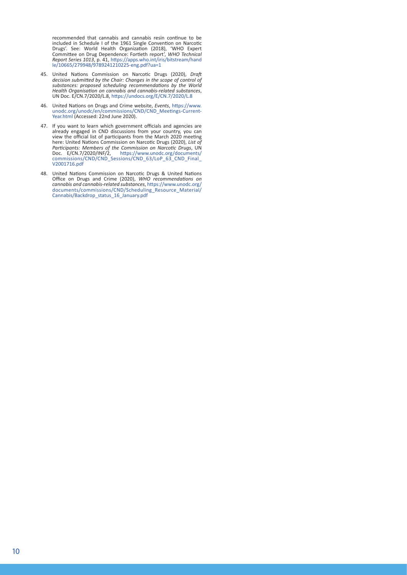recommended that cannabis and cannabis resin continue to be included in Schedule I of the 1961 Single Convention on Narcotic Drugs'. See: World Health Organization (2018), 'WHO Expert Committee on Drug Dependence: Fortieth report', *WHO Technical Report Series 1013*, p. 41, https://apps.who.int/iris/bitstream/hand le/10665/279948/9789241210225-eng.pdf?ua=1

- 45. United Nations Commission on Narcotic Drugs (2020), *Draft decision submitted by the Chair: Changes in the scope of control of substances: proposed scheduling recommendations by the World Health Organisation on cannabis and cannabis-related substances*, UN Doc. E/CN.7/2020/L.8, https://undocs.org/E/CN.7/2020/L.8
- 46. United Nations on Drugs and Crime website, *Events*, https://www. unodc.org/unodc/en/commissions/CND/CND\_Meetings-Current-Year.html (Accessed: 22nd June 2020).
- 47. If you want to learn which government officials and agencies are already engaged in CND discussions from your country, you can view the official list of participants from the March 2020 meeting here: United Nations Commission on Narcotic Drugs (2020), *List of Participants: Members of the Commission on Narcotic Drugs*, UN Doc. E/CN.7/2020/INF/2, https://www.unodc.org/documents/ commissions/CND/CND\_Sessions/CND\_63/LoP\_63\_CND\_Final\_ V2001716.pdf
- 48. United Nations Commission on Narcotic Drugs & United Nations Office on Drugs and Crime (2020), *WHO recommendations on cannabis and cannabis-related substances*, https://www.unodc.org/ documents/commissions/CND/Scheduling\_Resource\_Material/ Cannabis/Backdrop\_status\_16\_January.pdf